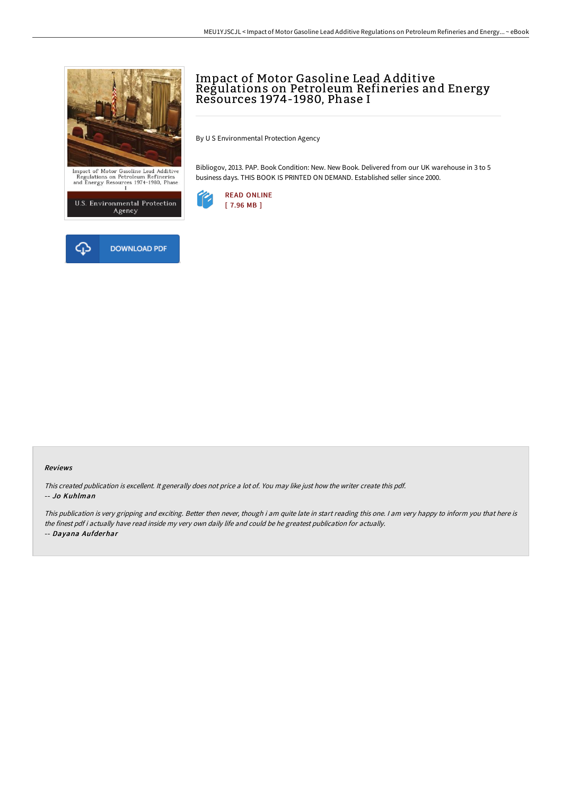

 $\begin{array}{c} \textbf{Import of Motor Gasoline Lead Additive} \\ \textbf{Regulations on Petroleum Refineries} \\ \textbf{and Energy Resources} \quad 1974\text{--}1980, Phase} \end{array}$ 





## Impact of Motor Gasoline Lead A dditive Regulations on Petroleum Refineries and Energy Resources 1974-1980, Phase I

By U S Environmental Protection Agency

Bibliogov, 2013. PAP. Book Condition: New. New Book. Delivered from our UK warehouse in 3 to 5 business days. THIS BOOK IS PRINTED ON DEMAND. Established seller since 2000.



## Reviews

This created publication is excellent. It generally does not price <sup>a</sup> lot of. You may like just how the writer create this pdf. -- Jo Kuhlman

This publication is very gripping and exciting. Better then never, though i am quite late in start reading this one. <sup>I</sup> am very happy to inform you that here is the finest pdf i actually have read inside my very own daily life and could be he greatest publication for actually. -- Dayana Aufderhar